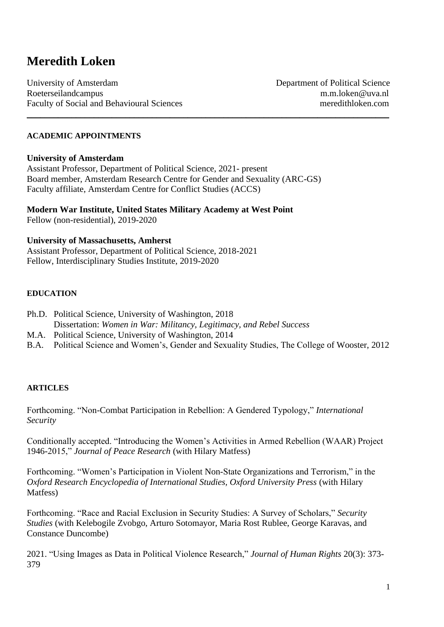# **Meredith Loken**

University of Amsterdam Department of Political Science Roeterseilandcampus m.m.loken@uva.nl Faculty of Social and Behavioural Sciences meredithloken.com

### **ACADEMIC APPOINTMENTS**

#### **University of Amsterdam**

Assistant Professor, Department of Political Science, 2021- present Board member, Amsterdam Research Centre for Gender and Sexuality (ARC-GS) Faculty affiliate, Amsterdam Centre for Conflict Studies (ACCS)

\_\_\_\_\_\_\_\_\_\_\_\_\_\_\_\_\_\_\_\_\_\_\_\_\_\_\_\_\_\_\_\_\_\_\_\_\_\_\_\_\_\_\_\_\_\_\_\_\_\_\_\_\_\_\_\_\_\_\_\_\_\_\_\_\_\_\_\_\_\_\_\_\_\_\_\_\_\_\_\_\_

**Modern War Institute, United States Military Academy at West Point** Fellow (non-residential), 2019-2020

#### **University of Massachusetts, Amherst**

Assistant Professor, Department of Political Science, 2018-2021 Fellow, Interdisciplinary Studies Institute, 2019-2020

#### **EDUCATION**

- Ph.D. Political Science, University of Washington, 2018
- Dissertation: *Women in War: Militancy, Legitimacy, and Rebel Success*
- M.A. Political Science, University of Washington, 2014
- B.A. Political Science and Women's, Gender and Sexuality Studies, The College of Wooster, 2012

#### **ARTICLES**

Forthcoming. "Non-Combat Participation in Rebellion: A Gendered Typology," *International Security*

Conditionally accepted. "Introducing the Women's Activities in Armed Rebellion (WAAR) Project 1946-2015," *Journal of Peace Research* (with Hilary Matfess)

Forthcoming. "Women's Participation in Violent Non-State Organizations and Terrorism," in the *Oxford Research Encyclopedia of International Studies, Oxford University Press* (with Hilary Matfess)

Forthcoming. "Race and Racial Exclusion in Security Studies: A Survey of Scholars," *Security Studies* (with Kelebogile Zvobgo, Arturo Sotomayor, Maria Rost Rublee, George Karavas, and Constance Duncombe)

2021. "Using Images as Data in Political Violence Research," *Journal of Human Rights* 20(3): 373- 379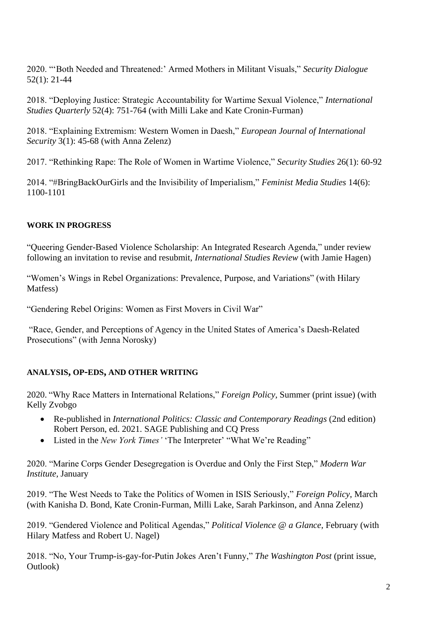2020. "'Both Needed and Threatened:' Armed Mothers in Militant Visuals," *Security Dialogue* 52(1): 21-44

2018. "Deploying Justice: Strategic Accountability for Wartime Sexual Violence," *International Studies Quarterly* 52(4): 751-764 (with Milli Lake and Kate Cronin-Furman)

2018. "Explaining Extremism: Western Women in Daesh," *European Journal of International Security* 3(1): 45-68 (with Anna Zelenz)

2017. "Rethinking Rape: The Role of Women in Wartime Violence," *Security Studies* 26(1): 60-92

2014. "#BringBackOurGirls and the Invisibility of Imperialism," *Feminist Media Studies* 14(6): 1100-1101

## **WORK IN PROGRESS**

"Queering Gender-Based Violence Scholarship: An Integrated Research Agenda," under review following an invitation to revise and resubmit, *International Studies Review* (with Jamie Hagen)

"Women's Wings in Rebel Organizations: Prevalence, Purpose, and Variations" (with Hilary Matfess)

"Gendering Rebel Origins: Women as First Movers in Civil War"

"Race, Gender, and Perceptions of Agency in the United States of America's Daesh-Related Prosecutions" (with Jenna Norosky)

# **ANALYSIS, OP-EDS, AND OTHER WRITING**

2020. "Why Race Matters in International Relations," *Foreign Policy*, Summer (print issue) (with Kelly Zvobgo

- Re-published in *International Politics: Classic and Contemporary Readings* (2nd edition) Robert Person, ed. 2021. SAGE Publishing and CQ Press
- Listed in the *New York Times'* 'The Interpreter' "What We're Reading"

2020. "Marine Corps Gender Desegregation is Overdue and Only the First Step," *Modern War Institute,* January

2019. "The West Needs to Take the Politics of Women in ISIS Seriously," *Foreign Policy*, March (with Kanisha D. Bond, Kate Cronin-Furman, Milli Lake, Sarah Parkinson, and Anna Zelenz)

2019. "Gendered Violence and Political Agendas," *Political Violence @ a Glance*, February (with Hilary Matfess and Robert U. Nagel)

2018. "No, Your Trump-is-gay-for-Putin Jokes Aren't Funny," *The Washington Post* (print issue, Outlook)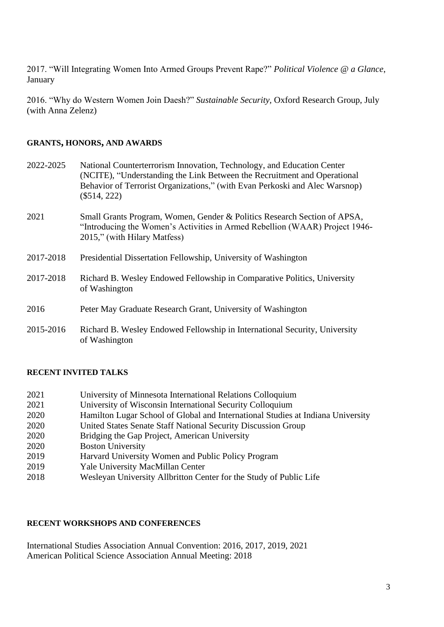2017. "Will Integrating Women Into Armed Groups Prevent Rape?" *Political Violence @ a Glance*, January

2016. "Why do Western Women Join Daesh?" *Sustainable Security,* Oxford Research Group, July (with Anna Zelenz)

## **GRANTS, HONORS, AND AWARDS**

| 2022-2025 | National Counterterrorism Innovation, Technology, and Education Center<br>(NCITE), "Understanding the Link Between the Recruitment and Operational<br>Behavior of Terrorist Organizations," (with Evan Perkoski and Alec Warsnop)<br>$(\$514, 222)$ |
|-----------|-----------------------------------------------------------------------------------------------------------------------------------------------------------------------------------------------------------------------------------------------------|
| 2021      | Small Grants Program, Women, Gender & Politics Research Section of APSA,<br>"Introducing the Women's Activities in Armed Rebellion (WAAR) Project 1946-<br>2015," (with Hilary Matfess)                                                             |
| 2017-2018 | Presidential Dissertation Fellowship, University of Washington                                                                                                                                                                                      |
| 2017-2018 | Richard B. Wesley Endowed Fellowship in Comparative Politics, University<br>of Washington                                                                                                                                                           |
| 2016      | Peter May Graduate Research Grant, University of Washington                                                                                                                                                                                         |
| 2015-2016 | Richard B. Wesley Endowed Fellowship in International Security, University<br>of Washington                                                                                                                                                         |

## **RECENT INVITED TALKS**

| 2021 | University of Minnesota International Relations Colloquium |
|------|------------------------------------------------------------|
| 2021 | University of Wisconsin International Security Colloquium  |

- 2020 Hamilton Lugar School of Global and International Studies at Indiana University
- 2020 United States Senate Staff National Security Discussion Group
- 2020 Bridging the Gap Project, American University
- 2020 Boston University
- 2019 Harvard University Women and Public Policy Program
- 2019 Yale University MacMillan Center
- 2018 Wesleyan University Allbritton Center for the Study of Public Life

## **RECENT WORKSHOPS AND CONFERENCES**

International Studies Association Annual Convention: 2016, 2017, 2019, 2021 American Political Science Association Annual Meeting: 2018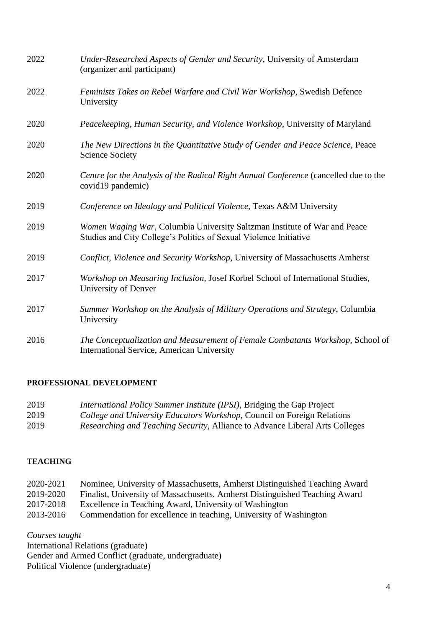| 2022 | Under-Researched Aspects of Gender and Security, University of Amsterdam<br>(organizer and participant)                                        |
|------|------------------------------------------------------------------------------------------------------------------------------------------------|
| 2022 | Feminists Takes on Rebel Warfare and Civil War Workshop, Swedish Defence<br>University                                                         |
| 2020 | Peacekeeping, Human Security, and Violence Workshop, University of Maryland                                                                    |
| 2020 | The New Directions in the Quantitative Study of Gender and Peace Science, Peace<br><b>Science Society</b>                                      |
| 2020 | Centre for the Analysis of the Radical Right Annual Conference (cancelled due to the<br>covid19 pandemic)                                      |
| 2019 | Conference on Ideology and Political Violence, Texas A&M University                                                                            |
| 2019 | Women Waging War, Columbia University Saltzman Institute of War and Peace<br>Studies and City College's Politics of Sexual Violence Initiative |
| 2019 | Conflict, Violence and Security Workshop, University of Massachusetts Amherst                                                                  |
| 2017 | Workshop on Measuring Inclusion, Josef Korbel School of International Studies,<br>University of Denver                                         |
| 2017 | Summer Workshop on the Analysis of Military Operations and Strategy, Columbia<br>University                                                    |
| 2016 | The Conceptualization and Measurement of Female Combatants Workshop, School of<br><b>International Service, American University</b>            |

# **PROFESSIONAL DEVELOPMENT**

| 2019 | International Policy Summer Institute (IPSI), Bridging the Gap Project       |
|------|------------------------------------------------------------------------------|
| 2019 | College and University Educators Workshop, Council on Foreign Relations      |
| 2019 | Researching and Teaching Security, Alliance to Advance Liberal Arts Colleges |

# **TEACHING**

| 2020-2021 | Nominee, University of Massachusetts, Amherst Distinguished Teaching Award  |
|-----------|-----------------------------------------------------------------------------|
| 2019-2020 | Finalist, University of Massachusetts, Amherst Distinguished Teaching Award |

- 2017-2018 Excellence in Teaching Award, University of Washington
- 2013-2016 Commendation for excellence in teaching, University of Washington

*Courses taught* 

International Relations (graduate) Gender and Armed Conflict (graduate, undergraduate) Political Violence (undergraduate)